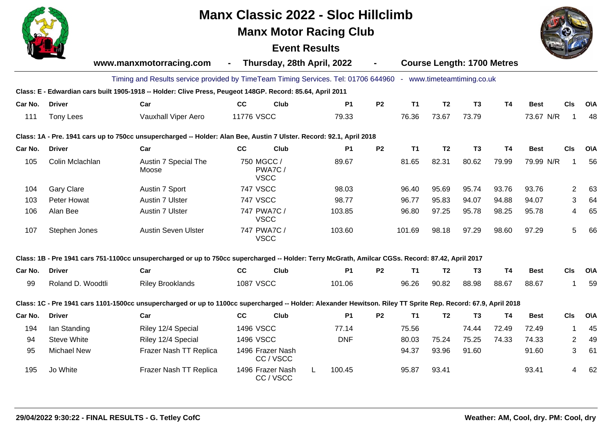

# **Manx Classic 2022 - Sloc Hillclimb**

# **Manx Motor Racing Club**

# **Event Results**



|         |                    | www.manxmotorracing.com                                                                                                                                        | $\blacksquare$   | Thursday, 28th April, 2022          |            |           |           |                |                | <b>Course Length: 1700 Metres</b> |             |                |            |
|---------|--------------------|----------------------------------------------------------------------------------------------------------------------------------------------------------------|------------------|-------------------------------------|------------|-----------|-----------|----------------|----------------|-----------------------------------|-------------|----------------|------------|
|         |                    | Timing and Results service provided by TimeTeam Timing Services. Tel: 01706 644960 - www.timeteamtiming.co.uk                                                  |                  |                                     |            |           |           |                |                |                                   |             |                |            |
|         |                    | Class: E - Edwardian cars built 1905-1918 -- Holder: Clive Press, Peugeot 148GP. Record: 85.64, April 2011                                                     |                  |                                     |            |           |           |                |                |                                   |             |                |            |
| Car No. | <b>Driver</b>      | Car                                                                                                                                                            | cc               | Club                                | <b>P1</b>  | <b>P2</b> | <b>T1</b> | T <sub>2</sub> | T <sub>3</sub> | <b>T4</b>                         | <b>Best</b> | <b>CIs</b>     | <b>O\A</b> |
| 111     | Tony Lees          | Vauxhall Viper Aero                                                                                                                                            | 11776 VSCC       |                                     | 79.33      |           | 76.36     | 73.67          | 73.79          |                                   | 73.67 N/R   |                | 48         |
|         |                    | Class: 1A - Pre. 1941 cars up to 750cc unsupercharged -- Holder: Alan Bee, Austin 7 Ulster. Record: 92.1, April 2018                                           |                  |                                     |            |           |           |                |                |                                   |             |                |            |
| Car No. | <b>Driver</b>      | Car                                                                                                                                                            | cc               | Club                                | <b>P1</b>  | <b>P2</b> | <b>T1</b> | T <sub>2</sub> | T <sub>3</sub> | <b>T4</b>                         | <b>Best</b> | CIs            | <b>O\A</b> |
| 105     | Colin Mclachlan    | Austin 7 Special The<br>Moose                                                                                                                                  |                  | 750 MGCC /<br>PWA7C/<br><b>VSCC</b> | 89.67      |           | 81.65     | 82.31          | 80.62          | 79.99                             | 79.99 N/R   |                | 56         |
| 104     | <b>Gary Clare</b>  | Austin 7 Sport                                                                                                                                                 | <b>747 VSCC</b>  |                                     | 98.03      |           | 96.40     | 95.69          | 95.74          | 93.76                             | 93.76       | $\overline{2}$ | 63         |
| 103     | Peter Howat        | Austin 7 Ulster                                                                                                                                                | <b>747 VSCC</b>  |                                     | 98.77      |           | 96.77     | 95.83          | 94.07          | 94.88                             | 94.07       | 3              | 64         |
| 106     | Alan Bee           | Austin 7 Ulster                                                                                                                                                |                  | 747 PWA7C /<br><b>VSCC</b>          | 103.85     |           | 96.80     | 97.25          | 95.78          | 98.25                             | 95.78       | 4              | 65         |
| 107     | Stephen Jones      | <b>Austin Seven Ulster</b>                                                                                                                                     |                  | 747 PWA7C /<br><b>VSCC</b>          | 103.60     |           | 101.69    | 98.18          | 97.29          | 98.60                             | 97.29       | 5              | 66         |
|         |                    | Class: 1B - Pre 1941 cars 751-1100cc unsupercharged or up to 750cc supercharged -- Holder: Terry McGrath, Amilcar CGSs. Record: 87.42, April 2017              |                  |                                     |            |           |           |                |                |                                   |             |                |            |
| Car No. | <b>Driver</b>      | Car                                                                                                                                                            | cc               | Club                                | <b>P1</b>  | <b>P2</b> | <b>T1</b> | T <sub>2</sub> | T <sub>3</sub> | <b>T4</b>                         | <b>Best</b> | CIs            | <b>O\A</b> |
| 99      | Roland D. Woodtli  | <b>Riley Brooklands</b>                                                                                                                                        | <b>1087 VSCC</b> |                                     | 101.06     |           | 96.26     | 90.82          | 88.98          | 88.67                             | 88.67       | 1              | 59         |
|         |                    | Class: 1C - Pre 1941 cars 1101-1500cc unsupercharged or up to 1100cc supercharged -- Holder: Alexander Hewitson. Riley TT Sprite Rep. Record: 67.9, April 2018 |                  |                                     |            |           |           |                |                |                                   |             |                |            |
| Car No. | <b>Driver</b>      | Car                                                                                                                                                            | cc               | Club                                | <b>P1</b>  | <b>P2</b> | <b>T1</b> | T <sub>2</sub> | T <sub>3</sub> | <b>T4</b>                         | <b>Best</b> | <b>CIs</b>     | <b>O\A</b> |
| 194     | lan Standing       | Riley 12/4 Special                                                                                                                                             | 1496 VSCC        |                                     | 77.14      |           | 75.56     |                | 74.44          | 72.49                             | 72.49       | 1              | 45         |
| 94      | <b>Steve White</b> | Riley 12/4 Special                                                                                                                                             | <b>1496 VSCC</b> |                                     | <b>DNF</b> |           | 80.03     | 75.24          | 75.25          | 74.33                             | 74.33       | 2              | 49         |
| 95      | <b>Michael New</b> | Frazer Nash TT Replica                                                                                                                                         |                  | 1496 Frazer Nash<br>CC/VSCC         |            |           | 94.37     | 93.96          | 91.60          |                                   | 91.60       | 3              | 61         |
| 195     | Jo White           | Frazer Nash TT Replica                                                                                                                                         |                  | 1496 Frazer Nash<br>CC/VSCC         | 100.45     |           | 95.87     | 93.41          |                |                                   | 93.41       | 4              | 62         |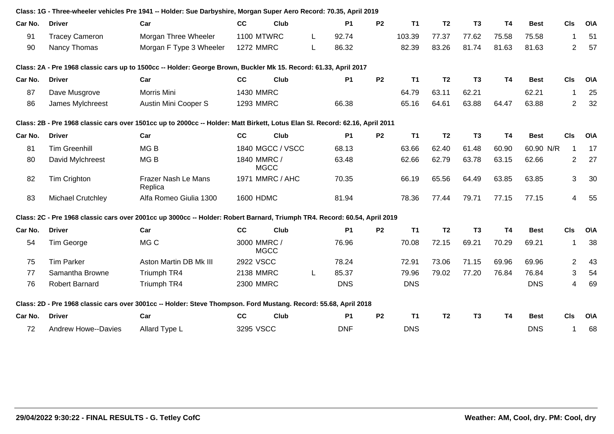|         |                            | Class: 1G - Three-wheeler vehicles Pre 1941 -- Holder: Sue Darbyshire, Morgan Super Aero Record: 70.35, April 2019           |                   |                  |    |                |                |            |                |                |           |             |                          |            |
|---------|----------------------------|------------------------------------------------------------------------------------------------------------------------------|-------------------|------------------|----|----------------|----------------|------------|----------------|----------------|-----------|-------------|--------------------------|------------|
| Car No. | <b>Driver</b>              | Car                                                                                                                          | cc                | Club             |    | P <sub>1</sub> | <b>P2</b>      | <b>T1</b>  | T <sub>2</sub> | T <sub>3</sub> | <b>T4</b> | <b>Best</b> | <b>CIs</b>               | O\A        |
| 91      | <b>Tracey Cameron</b>      | Morgan Three Wheeler                                                                                                         | <b>1100 MTWRC</b> |                  | L. | 92.74          |                | 103.39     | 77.37          | 77.62          | 75.58     | 75.58       |                          | 51         |
| 90      | Nancy Thomas               | Morgan F Type 3 Wheeler                                                                                                      | <b>1272 MMRC</b>  |                  | L  | 86.32          |                | 82.39      | 83.26          | 81.74          | 81.63     | 81.63       | $\overline{2}$           | 57         |
|         |                            | Class: 2A - Pre 1968 classic cars up to 1500cc -- Holder: George Brown, Buckler Mk 15. Record: 61.33, April 2017             |                   |                  |    |                |                |            |                |                |           |             |                          |            |
| Car No. | <b>Driver</b>              | Car                                                                                                                          | cc                | Club             |    | <b>P1</b>      | <b>P2</b>      | <b>T1</b>  | T <sub>2</sub> | T <sub>3</sub> | T4        | <b>Best</b> | CIs                      | O\A        |
| 87      | Dave Musgrove              | Morris Mini                                                                                                                  | <b>1430 MMRC</b>  |                  |    |                |                | 64.79      | 63.11          | 62.21          |           | 62.21       | 1                        | 25         |
| 86      | James Mylchreest           | Austin Mini Cooper S                                                                                                         | <b>1293 MMRC</b>  |                  |    | 66.38          |                | 65.16      | 64.61          | 63.88          | 64.47     | 63.88       | $\overline{c}$           | 32         |
|         |                            | Class: 2B - Pre 1968 classic cars over 1501cc up to 2000cc -- Holder: Matt Birkett, Lotus Elan SI. Record: 62.16, April 2011 |                   |                  |    |                |                |            |                |                |           |             |                          |            |
| Car No. | <b>Driver</b>              | Car                                                                                                                          | <b>CC</b>         | <b>Club</b>      |    | <b>P1</b>      | <b>P2</b>      | <b>T1</b>  | T <sub>2</sub> | T <sub>3</sub> | <b>T4</b> | <b>Best</b> | CIs                      | <b>O\A</b> |
| 81      | <b>Tim Greenhill</b>       | MG <sub>B</sub>                                                                                                              |                   | 1840 MGCC / VSCC |    | 68.13          |                | 63.66      | 62.40          | 61.48          | 60.90     | 60.90 N/R   | $\overline{\phantom{a}}$ | 17         |
| 80      | David Mylchreest           | MG <sub>B</sub>                                                                                                              | 1840 MMRC /       | <b>MGCC</b>      |    | 63.48          |                | 62.66      | 62.79          | 63.78          | 63.15     | 62.66       | 2                        | 27         |
| 82      | <b>Tim Crighton</b>        | Frazer Nash Le Mans<br>Replica                                                                                               |                   | 1971 MMRC / AHC  |    | 70.35          |                | 66.19      | 65.56          | 64.49          | 63.85     | 63.85       | 3                        | 30         |
| 83      | <b>Michael Crutchley</b>   | Alfa Romeo Giulia 1300                                                                                                       | 1600 HDMC         |                  |    | 81.94          |                | 78.36      | 77.44          | 79.71          | 77.15     | 77.15       | 4                        | 55         |
|         |                            | Class: 2C - Pre 1968 classic cars over 2001cc up 3000cc -- Holder: Robert Barnard, Triumph TR4. Record: 60.54, April 2019    |                   |                  |    |                |                |            |                |                |           |             |                          |            |
| Car No. | <b>Driver</b>              | Car                                                                                                                          | cc                | Club             |    | <b>P1</b>      | P <sub>2</sub> | <b>T1</b>  | T <sub>2</sub> | T <sub>3</sub> | <b>T4</b> | <b>Best</b> | <b>CIs</b>               | <b>O\A</b> |
| 54      | Tim George                 | MG C                                                                                                                         | 3000 MMRC /       | <b>MGCC</b>      |    | 76.96          |                | 70.08      | 72.15          | 69.21          | 70.29     | 69.21       | 1                        | 38         |
| 75      | <b>Tim Parker</b>          | Aston Martin DB Mk III                                                                                                       | 2922 VSCC         |                  |    | 78.24          |                | 72.91      | 73.06          | 71.15          | 69.96     | 69.96       | $\overline{2}$           | 43         |
| 77      | Samantha Browne            | Triumph TR4                                                                                                                  | 2138 MMRC         |                  | L  | 85.37          |                | 79.96      | 79.02          | 77.20          | 76.84     | 76.84       | 3                        | 54         |
| 76      | <b>Robert Barnard</b>      | Triumph TR4                                                                                                                  | 2300 MMRC         |                  |    | <b>DNS</b>     |                | <b>DNS</b> |                |                |           | <b>DNS</b>  | 4                        | 69         |
|         |                            | Class: 2D - Pre 1968 classic cars over 3001cc -- Holder: Steve Thompson. Ford Mustang. Record: 55.68, April 2018             |                   |                  |    |                |                |            |                |                |           |             |                          |            |
| Car No. | <b>Driver</b>              | Car                                                                                                                          | cc                | Club             |    | <b>P1</b>      | <b>P2</b>      | <b>T1</b>  | T <sub>2</sub> | T <sub>3</sub> | <b>T4</b> | <b>Best</b> | CIs                      | <b>O\A</b> |
| 72      | <b>Andrew Howe--Davies</b> | Allard Type L                                                                                                                | 3295 VSCC         |                  |    | <b>DNF</b>     |                | <b>DNS</b> |                |                |           | <b>DNS</b>  | -1                       | 68         |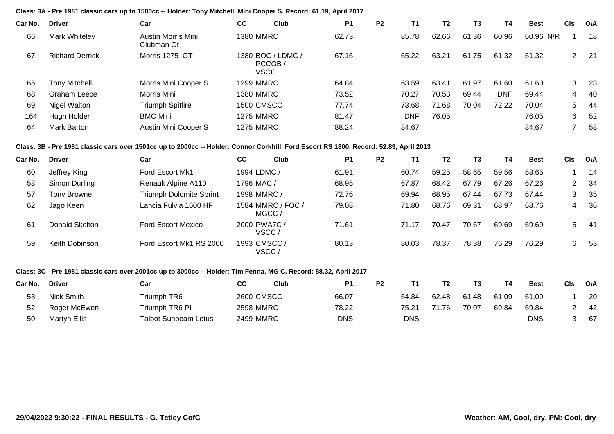**Class: 3A - Pre 1981 classic cars up to 1500cc -- Holder: Tony Mitchell, Mini Cooper S. Record: 61.19, April 2017**

| Car No. | <b>Driver</b>          | Car                              | cc               | Club                                      | <b>P1</b> | <b>P2</b> | Τ1         | T2    | T3    | T4         | <b>Best</b> | <b>CIs</b> | O\A  |
|---------|------------------------|----------------------------------|------------------|-------------------------------------------|-----------|-----------|------------|-------|-------|------------|-------------|------------|------|
| 66      | Mark Whiteley          | Austin Morris Mini<br>Clubman Gt | 1380 MMRC        |                                           | 62.73     |           | 85.78      | 62.66 | 61.36 | 60.96      | 60.96 N/R   |            | 18   |
| 67      | <b>Richard Derrick</b> | Morris 1275 GT                   |                  | 380 BOC / LDMC /<br>PCCGB/<br><b>VSCC</b> | 67.16     |           | 65.22      | 63.21 | 61.75 | 61.32      | 61.32       | 2          | - 21 |
| 65      | <b>Tony Mitchell</b>   | Morris Mini Cooper S             | <b>1299 MMRC</b> |                                           | 64.84     |           | 63.59      | 63.41 | 61.97 | 61.60      | 61.60       | 3          | - 23 |
| 68      | Graham Leece           | Morris Mini                      | 1380 MMRC        |                                           | 73.52     |           | 70.27      | 70.53 | 69.44 | <b>DNF</b> | 69.44       | 4          | -40  |
| 69      | Nigel Walton           | <b>Triumph Spitfire</b>          | 1500 CMSCC       |                                           | 77.74     |           | 73.68      | 71.68 | 70.04 | 72.22      | 70.04       | 5          | -44  |
| 164     | Hugh Holder            | <b>BMC Mini</b>                  | <b>1275 MMRC</b> |                                           | 81.47     |           | <b>DNF</b> | 76.05 |       |            | 76.05       | 6          | 52   |
| 64      | Mark Barton            | Austin Mini Cooper S             | <b>1275 MMRC</b> |                                           | 88.24     |           | 84.67      |       |       |            | 84.67       |            | 58   |

**Class: 3B - Pre 1981 classic cars over 1501cc up to 2000cc -- Holder: Connor Corkhill, Ford Escort RS 1800. Record: 52.89, April 2013**

| Car No. | <b>Driver</b>  | Car                            | CC           | Club                       | <b>P1</b> | P <sub>2</sub> | Т1    | T2    | T3    | T4    | <b>Best</b> | <b>CIs</b> | O\A  |
|---------|----------------|--------------------------------|--------------|----------------------------|-----------|----------------|-------|-------|-------|-------|-------------|------------|------|
| 60      | Jeffrey King   | Ford Escort Mk1                | 1994 LDMC /  |                            | 61.91     |                | 60.74 | 59.25 | 58.65 | 59.56 | 58.65       |            | 14   |
| 58      | Simon Durling  | Renault Alpine A110            | 1796 MAC /   |                            | 68.95     |                | 67.87 | 68.42 | 67.79 | 67.26 | 67.26       | 2          | -34  |
| 57      | Tony Browne    | <b>Triumph Dolomite Sprint</b> | 1998 MMRC /  |                            | 72.76     |                | 69.94 | 68.95 | 67.44 | 67.73 | 67.44       | 3          | 35   |
| 62      | Jago Keen      | Lancia Fulvia 1600 HF          |              | 1584 MMRC / FOC /<br>MGCC/ | 79.08     |                | 71.80 | 68.76 | 69.31 | 68.97 | 68.76       | 4          | 36   |
| 61      | Donald Skelton | <b>Ford Escort Mexico</b>      | 2000 PWA7C/  | VSCC/                      | 71.61     |                | 71.17 | 70.47 | 70.67 | 69.69 | 69.69       | 5          | - 41 |
| 59      | Keith Dobinson | Ford Escort Mk1 RS 2000        | 1993 CMSCC / | VSCC /                     | 80.13     |                | 80.03 | 78.37 | 78.38 | 76.29 | 76.29       | 6          | 53   |

## **Class: 3C - Pre 1981 classic cars over 2001cc up to 3000cc -- Holder: Tim Fenna, MG C. Record: 58.32, April 2017**

| Car No. | <b>Driver</b> | Car                  | СC                | Club | P1    | P2 |       |       |       |       | <b>Best</b> | CIs | O\A |
|---------|---------------|----------------------|-------------------|------|-------|----|-------|-------|-------|-------|-------------|-----|-----|
| 53      | Nick Smith    | Triumph TR6          | <b>2600 CMSCC</b> |      | 66.07 |    | 64.84 | 62.48 | 61.48 | 61.09 | 61.09       |     | 20  |
| 52      | Roger McEwen  | Triumph TR6 PI       | 2598 MMRC         |      | 78.22 |    | 75.21 | 71.76 | 70.07 | 69.84 | 69.84       |     | -42 |
| 50      | Martyn Ellis  | Talbot Sunbeam Lotus | 2499 MMRC         |      | DNS   |    | DNS   |       |       |       | DNS         |     | 67  |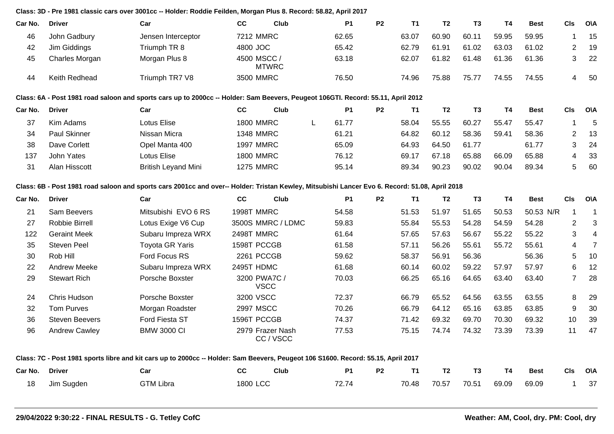### **Class: 3D - Pre 1981 classic cars over 3001cc -- Holder: Roddie Feilden, Morgan Plus 8. Record: 58.82, April 2017**

| Car No. | <b>Driver</b>       | Car                                                                                                                              | <b>CC</b>        | Club         | <b>P1</b> | <b>P2</b> | <b>T1</b> | T <sub>2</sub> | T <sub>3</sub> | <b>T4</b>      | <b>Best</b> | <b>CIs</b>            | <b>OVA</b> |
|---------|---------------------|----------------------------------------------------------------------------------------------------------------------------------|------------------|--------------|-----------|-----------|-----------|----------------|----------------|----------------|-------------|-----------------------|------------|
| 46      | John Gadbury        | Jensen Interceptor                                                                                                               | 7212 MMRC        |              | 62.65     |           | 63.07     | 60.90          | 60.11          | 59.95          | 59.95       | 1                     | 15         |
| 42      | Jim Giddings        | Triumph TR 8                                                                                                                     | 4800 JOC         |              | 65.42     |           | 62.79     | 61.91          | 61.02          | 63.03          | 61.02       | $\mathbf{2}^{\prime}$ | 19         |
| 45      | Charles Morgan      | Morgan Plus 8                                                                                                                    | 4500 MSCC /      | <b>MTWRC</b> | 63.18     |           | 62.07     | 61.82          | 61.48          | 61.36          | 61.36       | 3                     | 22         |
| 44      | Keith Redhead       | Triumph TR7 V8                                                                                                                   | 3500 MMRC        |              | 76.50     |           | 74.96     | 75.88          | 75.77          | 74.55          | 74.55       | 4                     | -50        |
|         |                     | Class: 6A - Post 1981 road saloon and sports cars up to 2000cc -- Holder: Sam Beevers, Peugeot 106GTI. Record: 55.11, April 2012 |                  |              |           |           |           |                |                |                |             |                       |            |
| Car No. | <b>Driver</b>       | Car                                                                                                                              | <b>CC</b>        | Club         | <b>P1</b> | <b>P2</b> | T1        | T2             | T3             | T <sub>4</sub> | <b>Best</b> | <b>CIs</b>            | <b>OVA</b> |
| 37      | Kim Adams           | Lotus Elise                                                                                                                      | <b>1800 MMRC</b> |              | 61.77     |           | 58.04     | 55.55          | 60.27          | 55.47          | 55.47       |                       | -5         |
| 34      | <b>Paul Skinner</b> | Nissan Micra                                                                                                                     | <b>1348 MMRC</b> |              | 61.21     |           | 64.82     | 60.12          | 58.36          | 59.41          | 58.36       | $\overline{2}$        | 13         |
| 38      | Dave Corlett        | Opel Manta 400                                                                                                                   | <b>1997 MMRC</b> |              | 65.09     |           | 64.93     | 64.50          | 61.77          |                | 61.77       | 3                     | 24         |
| 137     | John Yates          | Lotus Elise                                                                                                                      | <b>1800 MMRC</b> |              | 76.12     |           | 69.17     | 67.18          | 65.88          | 66.09          | 65.88       | 4                     | 33         |
| 31      | Alan Hisscott       | <b>British Leyand Mini</b>                                                                                                       | <b>1275 MMRC</b> |              | 95.14     |           | 89.34     | 90.23          | 90.02          | 90.04          | 89.34       | 5                     | 60         |

### **Class: 6B - Post 1981 road saloon and sports cars 2001cc and over-- Holder: Tristan Kewley, Mitsubishi Lancer Evo 6. Record: 51.08, April 2018**

| Car No. | <b>Driver</b>         | Car                    | cc<br><b>Club</b>           | <b>P1</b> | P <sub>2</sub> | T1    | T2    | <b>T3</b> | T4    | <b>Best</b> | <b>CIs</b> | O\A |
|---------|-----------------------|------------------------|-----------------------------|-----------|----------------|-------|-------|-----------|-------|-------------|------------|-----|
| 21      | Sam Beevers           | Mitsubishi EVO 6 RS    | 1998T MMRC                  | 54.58     |                | 51.53 | 51.97 | 51.65     | 50.53 | 50.53 N/R   |            |     |
| 27      | Robbie Birrell        | Lotus Exige V6 Cup     | 3500S MMRC / LDMC           | 59.83     |                | 55.84 | 55.53 | 54.28     | 54.59 | 54.28       | 2          | 3   |
| 122     | <b>Geraint Meek</b>   | Subaru Impreza WRX     | 2498T MMRC                  | 61.64     |                | 57.65 | 57.63 | 56.67     | 55.22 | 55.22       | 3          | 4   |
| 35      | <b>Steven Peel</b>    | <b>Toyota GR Yaris</b> | 1598T PCCGB                 | 61.58     |                | 57.11 | 56.26 | 55.61     | 55.72 | 55.61       | 4          |     |
| 30      | Rob Hill              | Ford Focus RS          | 2261 PCCGB                  | 59.62     |                | 58.37 | 56.91 | 56.36     |       | 56.36       | 5          | -10 |
| 22      | Andrew Meeke          | Subaru Impreza WRX     | 2495T HDMC                  | 61.68     |                | 60.14 | 60.02 | 59.22     | 57.97 | 57.97       | 6          | -12 |
| 29      | <b>Stewart Rich</b>   | Porsche Boxster        | 3200 PWA7C/<br><b>VSCC</b>  | 70.03     |                | 66.25 | 65.16 | 64.65     | 63.40 | 63.40       | 7          | 28  |
| 24      | Chris Hudson          | Porsche Boxster        | 3200 VSCC                   | 72.37     |                | 66.79 | 65.52 | 64.56     | 63.55 | 63.55       | 8          | 29  |
| 32      | <b>Tom Purves</b>     | Morgan Roadster        | 2997 MSCC                   | 70.26     |                | 66.79 | 64.12 | 65.16     | 63.85 | 63.85       | 9          | 30  |
| 36      | <b>Steven Beevers</b> | <b>Ford Fiesta ST</b>  | 1596T PCCGB                 | 74.37     |                | 71.42 | 69.32 | 69.70     | 70.30 | 69.32       | 10         | -39 |
| 96      | <b>Andrew Cawley</b>  | <b>BMW 3000 CI</b>     | 2979 Frazer Nash<br>CC/VSCC | 77.53     |                | 75.15 | 74.74 | 74.32     | 73.39 | 73.39       | 11         | 47  |

#### **Class: 7C - Post 1981 sports libre and kit cars up to 2000cc -- Holder: Sam Beevers, Peugeot 106 S1600. Record: 55.15, April 2017**

| Car No. | <b>Driver</b> | Car              | <b>CC</b> | Club | P <sub>1</sub> | P <sub>2</sub> | <b>T1</b> | T <sub>2</sub> | T3 | <b>T4</b>                     | Best | CIs O\A      |  |
|---------|---------------|------------------|-----------|------|----------------|----------------|-----------|----------------|----|-------------------------------|------|--------------|--|
| 18      | Jim Sugden    | <b>GTM Libra</b> | 1800 LCC  |      | 72.74          |                |           |                |    | 70.48 70.57 70.51 69.09 69.09 |      | $1 \quad 37$ |  |